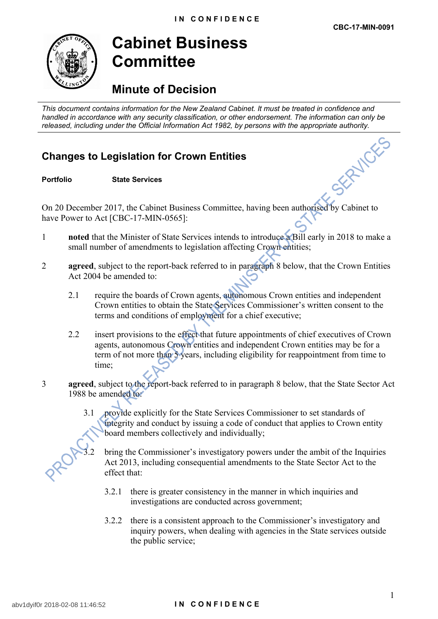

## **Cabinet Business Committee**

## **Minute of Decision**

*This document contains information for the New Zealand Cabinet. It must be treated in confidence and handled in accordance with any security classification, or other endorsement. The information can only be released, including under the Official Information Act 1982, by persons with the appropriate authority.*<br> **Changes to Legislation for Crown Entities**<br>
Portfolio State Services

## **Changes to Legislation for Crown Entities**

**Portfolio State Services**

On 20 December 2017, the Cabinet Business Committee, having been authorised by Cabinet to have Power to Act [CBC-17-MIN-0565]:

- 1 **noted** that the Minister of State Services intends to introduce a Bill early in 2018 to make a small number of amendments to legislation affecting Crown entities;
- 2 **agreed**, subject to the report-back referred to in paragraph 8 below, that the Crown Entities Act 2004 be amended to:
	- 2.1 require the boards of Crown agents, autonomous Crown entities and independent Crown entities to obtain the State Services Commissioner's written consent to the terms and conditions of employment for a chief executive;
	- 2.2 insert provisions to the effect that future appointments of chief executives of Crown agents, autonomous Crown entities and independent Crown entities may be for a term of not more than 5 years, including eligibility for reappointment from time to time;
- 3 **agreed**, subject to the report-back referred to in paragraph 8 below, that the State Sector Act 1988 be amended to:
	- 3.1 provide explicitly for the State Services Commissioner to set standards of integrity and conduct by issuing a code of conduct that applies to Crown entity board members collectively and individually;

- bring the Commissioner's investigatory powers under the ambit of the Inquiries Act 2013, including consequential amendments to the State Sector Act to the effect that:
	- 3.2.1 there is greater consistency in the manner in which inquiries and investigations are conducted across government;
	- 3.2.2 there is a consistent approach to the Commissioner's investigatory and inquiry powers, when dealing with agencies in the State services outside the public service;